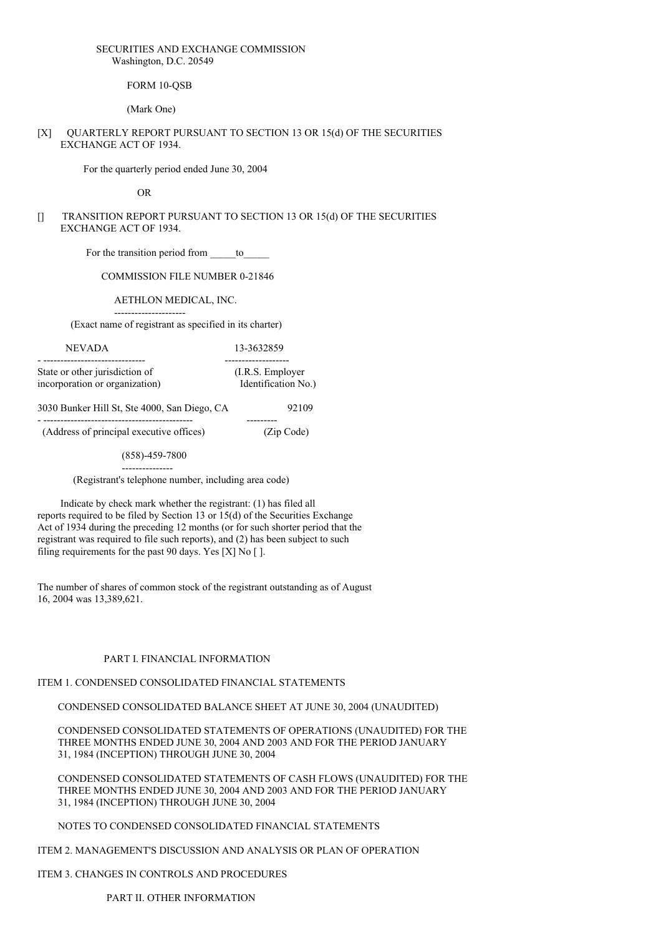## SECURITIES AND EXCHANGE COMMISSION Washington, D.C. 20549

#### FORM 10-OSB

(Mark One)

[X] QUARTERLY REPORT PURSUANT TO SECTION 13 OR 15(d) OF THE SECURITIES EXCHANGE ACT OF 1934.

For the quarterly period ended June 30, 2004

OR

## [] TRANSITION REPORT PURSUANT TO SECTION 13 OR 15(d) OF THE SECURITIES EXCHANGE ACT OF 1934.

For the transition period from to

COMMISSION FILE NUMBER 0-21846

## AETHLON MEDICAL, INC.

--------------------- (Exact name of registrant as specified in its charter)

NEVADA 13-3632859

- ------------------------------ -------------------

State or other jurisdiction of (I.R.S. Employer incorporation or organization) Identification No.

3030 Bunker Hill St, Ste 4000, San Diego, CA 92109 - -------------------------------------------- ---------

(Address of principal executive offices) (Zip Code)

(858)-459-7800

---------------

(Registrant's telephone number, including area code)

Indicate by check mark whether the registrant: (1) has filed all reports required to be filed by Section 13 or 15(d) of the Securities Exchange Act of 1934 during the preceding 12 months (or for such shorter period that the registrant was required to file such reports), and (2) has been subject to such filing requirements for the past 90 days. Yes [X] No [ ].

The number of shares of common stock of the registrant outstanding as of August 16, 2004 was 13,389,621.

## PART I. FINANCIAL INFORMATION

## ITEM 1. CONDENSED CONSOLIDATED FINANCIAL STATEMENTS

CONDENSED CONSOLIDATED BALANCE SHEET AT JUNE 30, 2004 (UNAUDITED)

CONDENSED CONSOLIDATED STATEMENTS OF OPERATIONS (UNAUDITED) FOR THE THREE MONTHS ENDED JUNE 30, 2004 AND 2003 AND FOR THE PERIOD JANUARY 31, 1984 (INCEPTION) THROUGH JUNE 30, 2004

CONDENSED CONSOLIDATED STATEMENTS OF CASH FLOWS (UNAUDITED) FOR THE THREE MONTHS ENDED JUNE 30, 2004 AND 2003 AND FOR THE PERIOD JANUARY 31, 1984 (INCEPTION) THROUGH JUNE 30, 2004

NOTES TO CONDENSED CONSOLIDATED FINANCIAL STATEMENTS

ITEM 2. MANAGEMENT'S DISCUSSION AND ANALYSIS OR PLAN OF OPERATION

ITEM 3. CHANGES IN CONTROLS AND PROCEDURES

PART II. OTHER INFORMATION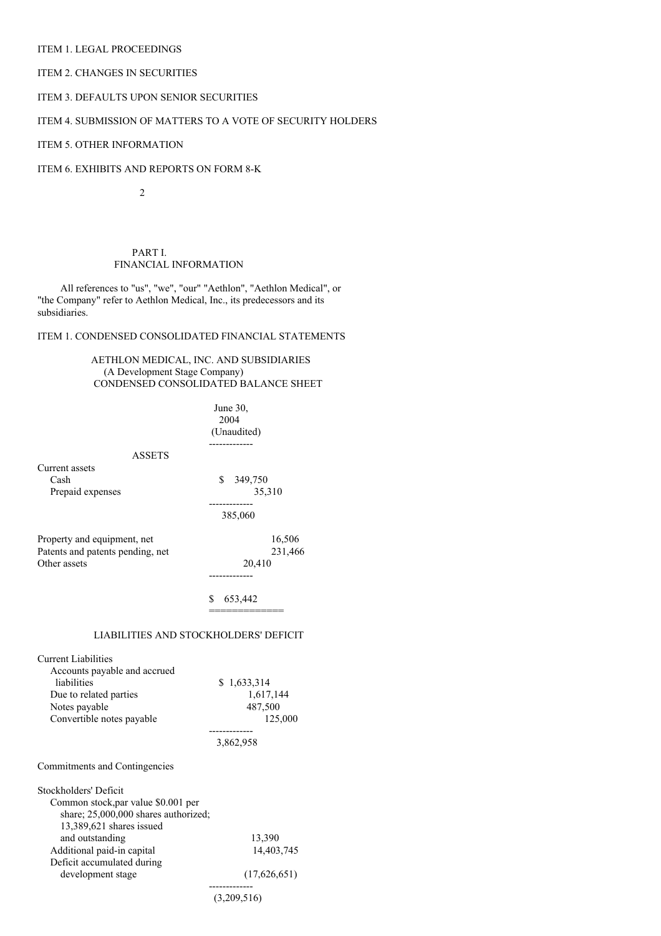## ITEM 1. LEGAL PROCEEDINGS

## ITEM 2. CHANGES IN SECURITIES

## ITEM 3. DEFAULTS UPON SENIOR SECURITIES

# ITEM 4. SUBMISSION OF MATTERS TO A VOTE OF SECURITY HOLDERS

## ITEM 5. OTHER INFORMATION

ITEM 6. EXHIBITS AND REPORTS ON FORM 8-K

 $\overline{2}$ 

## PART I. FINANCIAL INFORMATION

All references to "us", "we", "our" "Aethlon", "Aethlon Medical", or "the Company" refer to Aethlon Medical, Inc., its predecessors and its subsidiaries.

# ITEM 1. CONDENSED CONSOLIDATED FINANCIAL STATEMENTS

## AETHLON MEDICAL, INC. AND SUBSIDIARIES (A Development Stage Company) CONDENSED CONSOLIDATED BALANCE SHEET

|                                                                                                                                                                                                                                      | June 30,<br>2004<br>(Unaudited)                |
|--------------------------------------------------------------------------------------------------------------------------------------------------------------------------------------------------------------------------------------|------------------------------------------------|
| <b>ASSETS</b>                                                                                                                                                                                                                        |                                                |
| Current assets<br>Cash<br>Prepaid expenses                                                                                                                                                                                           | \$349,750<br>35,310<br>385,060                 |
| Property and equipment, net<br>Patents and patents pending, net<br>Other assets                                                                                                                                                      | 16,506<br>231,466<br>20,410                    |
|                                                                                                                                                                                                                                      | \$653,442                                      |
| LIABILITIES AND STOCKHOLDERS' DEFICIT                                                                                                                                                                                                |                                                |
| <b>Current Liabilities</b><br>Accounts payable and accrued<br>liabilities<br>Due to related parties<br>Notes payable<br>Convertible notes payable                                                                                    | \$1,633,314<br>1,617,144<br>487,500<br>125,000 |
|                                                                                                                                                                                                                                      | 3,862,958                                      |
| Commitments and Contingencies                                                                                                                                                                                                        |                                                |
| Stockholders' Deficit<br>Common stock, par value \$0.001 per<br>share; 25,000,000 shares authorized;<br>13,389,621 shares issued<br>and outstanding<br>Additional paid-in capital<br>Deficit accumulated during<br>development stage | 13,390<br>14,403,745<br>(17,626,651)           |
|                                                                                                                                                                                                                                      | (3,209,516)                                    |
|                                                                                                                                                                                                                                      |                                                |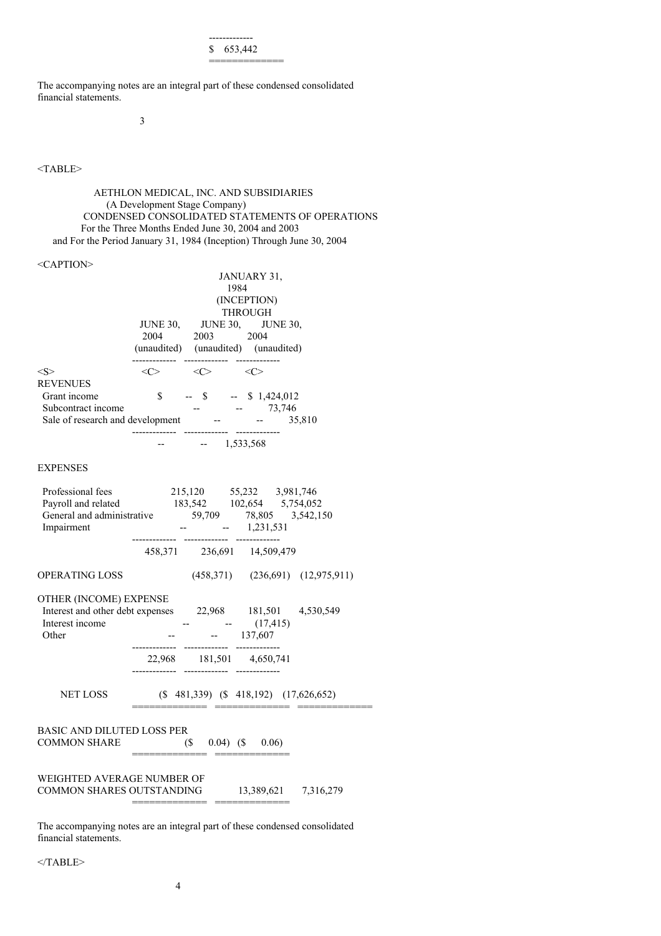------------- \$ 653,442

=============

The accompanying notes are an integral part of these condensed consolidated financial statements.

3

### <TABLE>

AETHLON MEDICAL, INC. AND SUBSIDIARIES (A Development Stage Company) CONDENSED CONSOLIDATED STATEMENTS OF OPERATIONS For the Three Months Ended June 30, 2004 and 2003 and For the Period January 31, 1984 (Inception) Through June 30, 2004

<CAPTION>

| JANUARY 31,<br>1984                |                                                                                                                                                              |  |  |  |  |
|------------------------------------|--------------------------------------------------------------------------------------------------------------------------------------------------------------|--|--|--|--|
|                                    | (INCEPTION)                                                                                                                                                  |  |  |  |  |
|                                    | <b>THROUGH</b>                                                                                                                                               |  |  |  |  |
|                                    | JUNE 30, JUNE 30,<br><b>JUNE 30,</b>                                                                                                                         |  |  |  |  |
|                                    | 2004 2003 2004<br>(unaudited) (unaudited) (unaudited)                                                                                                        |  |  |  |  |
| < S >                              | $\langle C \rangle$ $\langle C \rangle$ $\langle C \rangle$                                                                                                  |  |  |  |  |
| REVENUES                           |                                                                                                                                                              |  |  |  |  |
| Grant income<br>Subcontract income | $\$\quad -\quad \$\quad -\quad \quad \$\quad 1,424,012$                                                                                                      |  |  |  |  |
|                                    | $\frac{1}{2}$ -- 73,746<br>onment -- 73,746<br>Sale of research and development --                                                                           |  |  |  |  |
|                                    | ----------- ------------ ------------<br>$ -$ 1,533,568                                                                                                      |  |  |  |  |
| <b>EXPENSES</b>                    |                                                                                                                                                              |  |  |  |  |
|                                    |                                                                                                                                                              |  |  |  |  |
|                                    |                                                                                                                                                              |  |  |  |  |
|                                    |                                                                                                                                                              |  |  |  |  |
|                                    | Professional fees<br>Payroll and related<br>183,542 102,654 5,754,052<br>General and administrative<br>59,709 78,805 3,542,150<br>Impairment<br>-- 1,231,531 |  |  |  |  |
|                                    | 458,371 236,691 14,509,479                                                                                                                                   |  |  |  |  |
| OPERATING LOSS                     | $(458,371)$ $(236,691)$ $(12,975,911)$                                                                                                                       |  |  |  |  |
| OTHER (INCOME) EXPENSE             |                                                                                                                                                              |  |  |  |  |
|                                    | Interest and other debt expenses 22,968 181,501 4,530,549                                                                                                    |  |  |  |  |
| Interest income                    | $  (17,415)$                                                                                                                                                 |  |  |  |  |
| Other                              | $-137,607$<br>-------- ------------ -------------                                                                                                            |  |  |  |  |
|                                    | 22,968 181,501 4,650,741<br>-------- ------------ ---------                                                                                                  |  |  |  |  |
| NET LOSS                           | $($ \$ 481,339) $($ \$ 418,192) $(17,626,652)$                                                                                                               |  |  |  |  |
|                                    |                                                                                                                                                              |  |  |  |  |
| BASIC AND DILUTED LOSS PER         |                                                                                                                                                              |  |  |  |  |
| COMMON SHARE                       | $(S = 0.04)$ $(S = 0.06)$                                                                                                                                    |  |  |  |  |
|                                    |                                                                                                                                                              |  |  |  |  |
| WEIGHTED AVERAGE NUMBER OF         |                                                                                                                                                              |  |  |  |  |
| COMMON SHARES OUTSTANDING          | 13,389,621 7,316,279                                                                                                                                         |  |  |  |  |
|                                    | ===== ==<br>=====                                                                                                                                            |  |  |  |  |

The accompanying notes are an integral part of these condensed consolidated financial statements.

 $<$ /TABLE>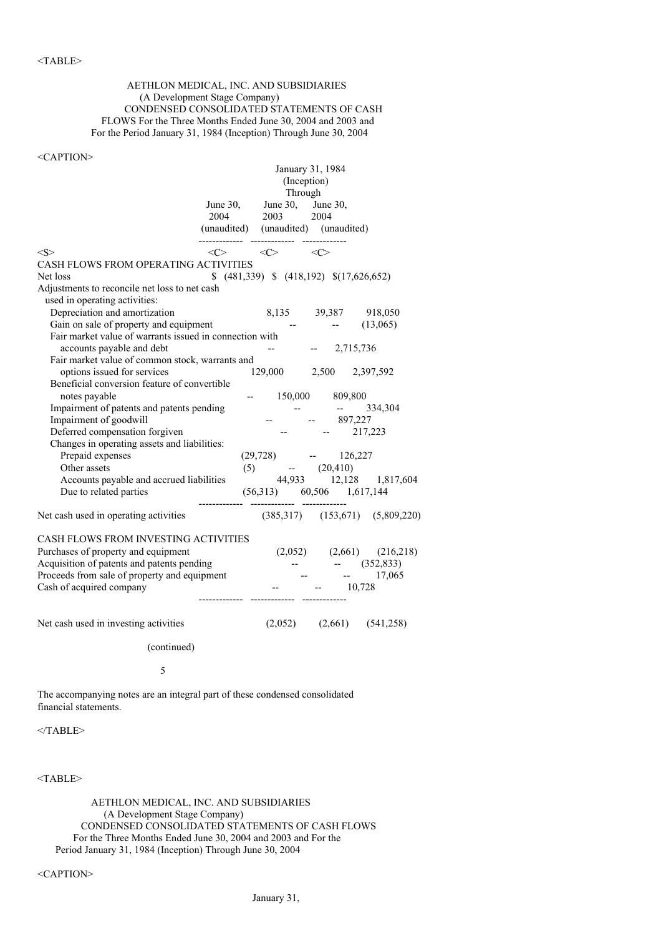## AETHLON MEDICAL, INC. AND SUBSIDIARIES (A Development Stage Company) CONDENSED CONSOLIDATED STATEMENTS OF CASH FLOWS For the Three Months Ended June 30, 2004 and 2003 and For the Period January 31, 1984 (Inception) Through June 30, 2004

## <CAPTION>

|                                                                                                                                                                                                       | June $30$ ,<br>2004                    | Through<br>June 30, June 30,<br>2003 2004<br>(unaudited) (unaudited) (unaudited)<br>------------ ------------ ------------ | January 31, 1984<br>(Inception) |                                                                                                                                                                                                                                                                                                                                                                                                                                                                      |
|-------------------------------------------------------------------------------------------------------------------------------------------------------------------------------------------------------|----------------------------------------|----------------------------------------------------------------------------------------------------------------------------|---------------------------------|----------------------------------------------------------------------------------------------------------------------------------------------------------------------------------------------------------------------------------------------------------------------------------------------------------------------------------------------------------------------------------------------------------------------------------------------------------------------|
| $<\ge$                                                                                                                                                                                                |                                        | $\langle C \rangle$ $\langle C \rangle$ $\langle C \rangle$                                                                |                                 |                                                                                                                                                                                                                                                                                                                                                                                                                                                                      |
| CASH FLOWS FROM OPERATING ACTIVITIES                                                                                                                                                                  |                                        |                                                                                                                            |                                 |                                                                                                                                                                                                                                                                                                                                                                                                                                                                      |
| Net loss                                                                                                                                                                                              |                                        |                                                                                                                            |                                 | $(481,339)$ \$ $(418,192)$ \$ $(17,626,652)$                                                                                                                                                                                                                                                                                                                                                                                                                         |
| Adjustments to reconcile net loss to net cash                                                                                                                                                         |                                        |                                                                                                                            |                                 |                                                                                                                                                                                                                                                                                                                                                                                                                                                                      |
| used in operating activities:                                                                                                                                                                         |                                        |                                                                                                                            |                                 |                                                                                                                                                                                                                                                                                                                                                                                                                                                                      |
| Depreciation and amortization                                                                                                                                                                         |                                        |                                                                                                                            |                                 | 8,135 39,387 918,050<br>-- -- (13,065)                                                                                                                                                                                                                                                                                                                                                                                                                               |
| Gain on sale of property and equipment<br>Fair market value of warrants issued in connection with                                                                                                     |                                        |                                                                                                                            |                                 |                                                                                                                                                                                                                                                                                                                                                                                                                                                                      |
| accounts payable and debt                                                                                                                                                                             |                                        | $-$                                                                                                                        | $-2,715,736$                    |                                                                                                                                                                                                                                                                                                                                                                                                                                                                      |
| Fair market value of common stock, warrants and                                                                                                                                                       |                                        |                                                                                                                            |                                 |                                                                                                                                                                                                                                                                                                                                                                                                                                                                      |
| options issued for services                                                                                                                                                                           |                                        |                                                                                                                            |                                 | 129,000 2,500 2,397,592                                                                                                                                                                                                                                                                                                                                                                                                                                              |
| Beneficial conversion feature of convertible                                                                                                                                                          |                                        |                                                                                                                            |                                 |                                                                                                                                                                                                                                                                                                                                                                                                                                                                      |
| notes payable                                                                                                                                                                                         |                                        | $-150,000$ 809,800                                                                                                         |                                 |                                                                                                                                                                                                                                                                                                                                                                                                                                                                      |
| Impairment of patents and patents pending                                                                                                                                                             |                                        |                                                                                                                            |                                 | <b>Section</b><br>334,304                                                                                                                                                                                                                                                                                                                                                                                                                                            |
| Impairment of goodwill                                                                                                                                                                                |                                        |                                                                                                                            | $-897,227$                      |                                                                                                                                                                                                                                                                                                                                                                                                                                                                      |
| Deferred compensation forgiven                                                                                                                                                                        |                                        |                                                                                                                            |                                 | $-217,223$                                                                                                                                                                                                                                                                                                                                                                                                                                                           |
| Changes in operating assets and liabilities:                                                                                                                                                          |                                        |                                                                                                                            |                                 |                                                                                                                                                                                                                                                                                                                                                                                                                                                                      |
| Prepaid expenses                                                                                                                                                                                      |                                        | $(29,728)$ -- 126,227                                                                                                      |                                 |                                                                                                                                                                                                                                                                                                                                                                                                                                                                      |
| Other assets                                                                                                                                                                                          |                                        |                                                                                                                            |                                 | (5) -- $(20,410)$<br>44,933 12,128 1,817,604                                                                                                                                                                                                                                                                                                                                                                                                                         |
| Accounts payable and accrued liabilities                                                                                                                                                              |                                        |                                                                                                                            |                                 |                                                                                                                                                                                                                                                                                                                                                                                                                                                                      |
| Due to related parties                                                                                                                                                                                | ------------ ------------ ------------ | $(56,313)$ $60,506$ $1,617,144$                                                                                            |                                 |                                                                                                                                                                                                                                                                                                                                                                                                                                                                      |
| Net cash used in operating activities                                                                                                                                                                 |                                        |                                                                                                                            |                                 | $(385,317)$ $(153,671)$ $(5,809,220)$                                                                                                                                                                                                                                                                                                                                                                                                                                |
| CASH FLOWS FROM INVESTING ACTIVITIES<br>Purchases of property and equipment<br>Acquisition of patents and patents pending<br>Proceeds from sale of property and equipment<br>Cash of acquired company |                                        |                                                                                                                            |                                 | $(2,052)$ $(2,661)$ $(216,218)$<br>$  (352,833)$<br>17,065<br>$\frac{1}{2} \frac{1}{2} \frac{1}{2} \frac{1}{2} \frac{1}{2} \frac{1}{2} \frac{1}{2} \frac{1}{2} \frac{1}{2} \frac{1}{2} \frac{1}{2} \frac{1}{2} \frac{1}{2} \frac{1}{2} \frac{1}{2} \frac{1}{2} \frac{1}{2} \frac{1}{2} \frac{1}{2} \frac{1}{2} \frac{1}{2} \frac{1}{2} \frac{1}{2} \frac{1}{2} \frac{1}{2} \frac{1}{2} \frac{1}{2} \frac{1}{2} \frac{1}{2} \frac{1}{2} \frac{1}{2} \frac{$<br>10,728 |
| Net cash used in investing activities<br>(continued)                                                                                                                                                  |                                        |                                                                                                                            |                                 | $(2,052)$ $(2,661)$ $(541,258)$                                                                                                                                                                                                                                                                                                                                                                                                                                      |

5

The accompanying notes are an integral part of these condensed consolidated financial statements.

## $<$ /TABLE>

# <TABLE>

AETHLON MEDICAL, INC. AND SUBSIDIARIES (A Development Stage Company) CONDENSED CONSOLIDATED STATEMENTS OF CASH FLOWS For the Three Months Ended June 30, 2004 and 2003 and For the Period January 31, 1984 (Inception) Through June 30, 2004

### <CAPTION>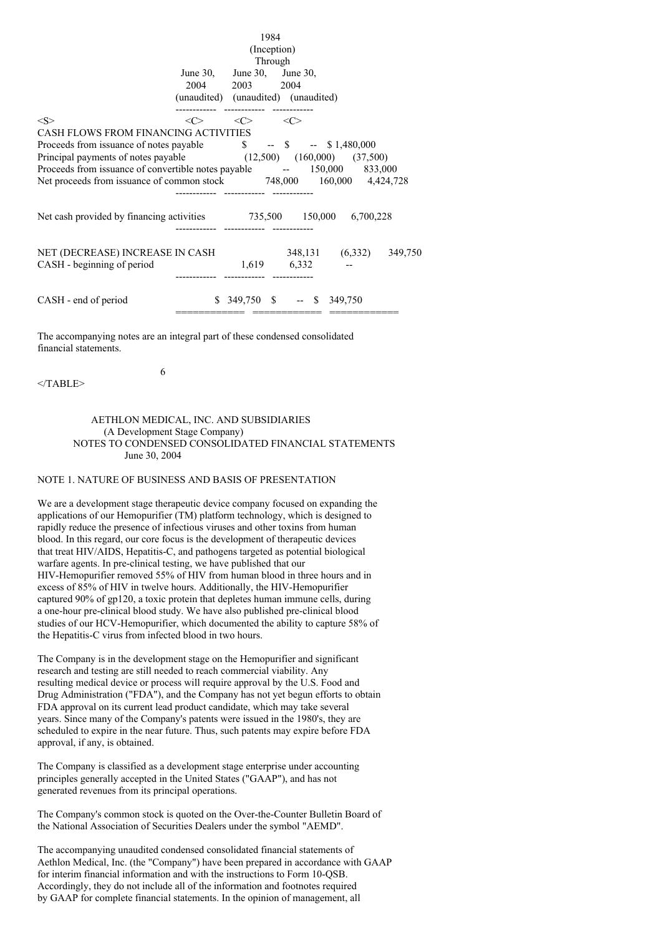|                                                                          |                                     |                                                             | 1984        |                         |  |
|--------------------------------------------------------------------------|-------------------------------------|-------------------------------------------------------------|-------------|-------------------------|--|
|                                                                          |                                     |                                                             | (Inception) |                         |  |
|                                                                          |                                     |                                                             | Through     |                         |  |
|                                                                          |                                     | June 30, June 30, June 30,                                  |             |                         |  |
|                                                                          |                                     | 2004 2003 2004                                              |             |                         |  |
|                                                                          | (unaudited) (unaudited) (unaudited) |                                                             |             |                         |  |
| < S >                                                                    |                                     | $\langle C \rangle$ $\langle C \rangle$ $\langle C \rangle$ |             |                         |  |
| CASH FLOWS FROM FINANCING ACTIVITIES                                     |                                     |                                                             |             |                         |  |
| Proceeds from issuance of notes payable $\qquad$ \$ -- \$ -- \$1,480,000 |                                     |                                                             |             |                         |  |
| Principal payments of notes payable $(12,500)$ $(160,000)$ $(37,500)$    |                                     |                                                             |             |                         |  |
| Proceeds from issuance of convertible notes payable -- 150,000 833,000   |                                     |                                                             |             |                         |  |
| Net proceeds from issuance of common stock 748,000 160,000 4,424,728     |                                     |                                                             |             |                         |  |
|                                                                          |                                     |                                                             |             |                         |  |
| Net cash provided by financing activities 735,500 150,000 6,700,228      |                                     |                                                             |             |                         |  |
|                                                                          |                                     |                                                             |             |                         |  |
| NET (DECREASE) INCREASE IN CASH                                          |                                     |                                                             |             | 348,131 (6,332) 349,750 |  |
| CASH - beginning of period                                               |                                     | $1,619$ $6,332$                                             |             |                         |  |
|                                                                          |                                     |                                                             |             |                         |  |
| CASH - end of period                                                     |                                     | $$349,750$ $$ $349,750$                                     |             |                         |  |
|                                                                          |                                     |                                                             |             |                         |  |

The accompanying notes are an integral part of these condensed consolidated financial statements.

6

 $<$ /TABLE>

### AETHLON MEDICAL, INC. AND SUBSIDIARIES (A Development Stage Company) NOTES TO CONDENSED CONSOLIDATED FINANCIAL STATEMENTS June 30, 2004

## NOTE 1. NATURE OF BUSINESS AND BASIS OF PRESENTATION

We are a development stage therapeutic device company focused on expanding the applications of our Hemopurifier (TM) platform technology, which is designed to rapidly reduce the presence of infectious viruses and other toxins from human blood. In this regard, our core focus is the development of therapeutic devices that treat HIV/AIDS, Hepatitis-C, and pathogens targeted as potential biological warfare agents. In pre-clinical testing, we have published that our HIV-Hemopurifier removed 55% of HIV from human blood in three hours and in excess of 85% of HIV in twelve hours. Additionally, the HIV-Hemopurifier captured 90% of gp120, a toxic protein that depletes human immune cells, during a one-hour pre-clinical blood study. We have also published pre-clinical blood studies of our HCV-Hemopurifier, which documented the ability to capture 58% of the Hepatitis-C virus from infected blood in two hours.

The Company is in the development stage on the Hemopurifier and significant research and testing are still needed to reach commercial viability. Any resulting medical device or process will require approval by the U.S. Food and Drug Administration ("FDA"), and the Company has not yet begun efforts to obtain FDA approval on its current lead product candidate, which may take several years. Since many of the Company's patents were issued in the 1980's, they are scheduled to expire in the near future. Thus, such patents may expire before FDA approval, if any, is obtained.

The Company is classified as a development stage enterprise under accounting principles generally accepted in the United States ("GAAP"), and has not generated revenues from its principal operations.

The Company's common stock is quoted on the Over-the-Counter Bulletin Board of the National Association of Securities Dealers under the symbol "AEMD".

The accompanying unaudited condensed consolidated financial statements of Aethlon Medical, Inc. (the "Company") have been prepared in accordance with GAAP for interim financial information and with the instructions to Form 10-QSB. Accordingly, they do not include all of the information and footnotes required by GAAP for complete financial statements. In the opinion of management, all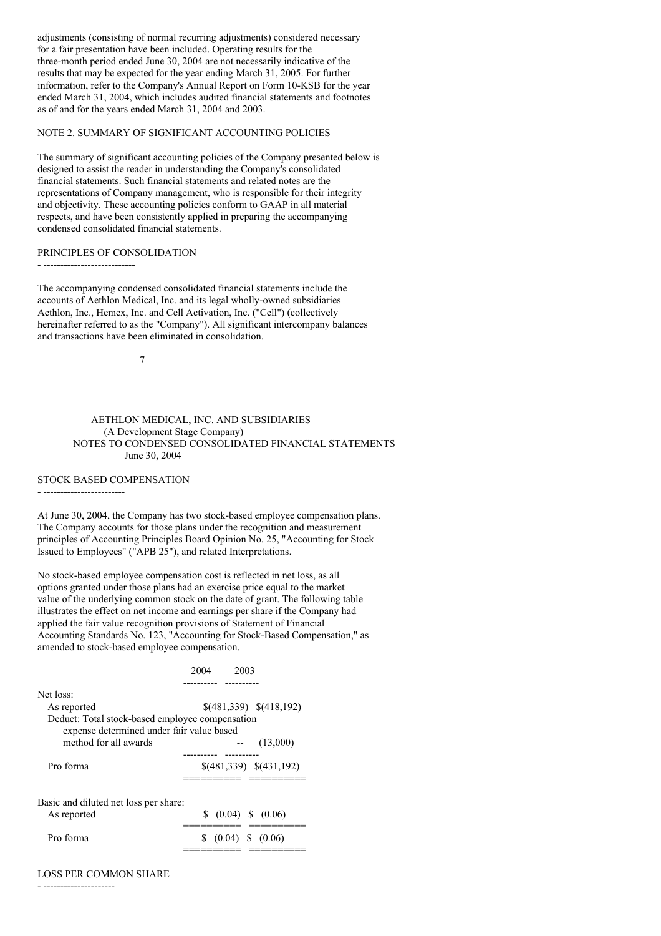adjustments (consisting of normal recurring adjustments) considered necessary for a fair presentation have been included. Operating results for the three-month period ended June 30, 2004 are not necessarily indicative of the results that may be expected for the year ending March 31, 2005. For further information, refer to the Company's Annual Report on Form 10-KSB for the year ended March 31, 2004, which includes audited financial statements and footnotes as of and for the years ended March 31, 2004 and 2003.

## NOTE 2. SUMMARY OF SIGNIFICANT ACCOUNTING POLICIES

The summary of significant accounting policies of the Company presented below is designed to assist the reader in understanding the Company's consolidated financial statements. Such financial statements and related notes are the representations of Company management, who is responsible for their integrity and objectivity. These accounting policies conform to GAAP in all material respects, and have been consistently applied in preparing the accompanying condensed consolidated financial statements.

## PRINCIPLES OF CONSOLIDATION

- ---------------------------

The accompanying condensed consolidated financial statements include the accounts of Aethlon Medical, Inc. and its legal wholly-owned subsidiaries Aethlon, Inc., Hemex, Inc. and Cell Activation, Inc. ("Cell") (collectively hereinafter referred to as the "Company"). All significant intercompany balances and transactions have been eliminated in consolidation.

7

## AETHLON MEDICAL, INC. AND SUBSIDIARIES (A Development Stage Company) NOTES TO CONDENSED CONSOLIDATED FINANCIAL STATEMENTS June 30, 2004

#### STOCK BASED COMPENSATION

- ------------------------

At June 30, 2004, the Company has two stock-based employee compensation plans. The Company accounts for those plans under the recognition and measurement principles of Accounting Principles Board Opinion No. 25, "Accounting for Stock Issued to Employees" ("APB 25"), and related Interpretations.

No stock-based employee compensation cost is reflected in net loss, as all options granted under those plans had an exercise price equal to the market value of the underlying common stock on the date of grant. The following table illustrates the effect on net income and earnings per share if the Company had applied the fair value recognition provisions of Statement of Financial Accounting Standards No. 123, "Accounting for Stock-Based Compensation," as amended to stock-based employee compensation.

|                                                                                              | 2004 | 2003                     |
|----------------------------------------------------------------------------------------------|------|--------------------------|
|                                                                                              |      |                          |
| Net loss:                                                                                    |      |                          |
| As reported                                                                                  |      | $$(481,339) \$(418,192)$ |
| Deduct: Total stock-based employee compensation<br>expense determined under fair value based |      |                          |
| method for all awards                                                                        |      | (13,000)<br>---------    |
| Pro forma                                                                                    |      | $$(481,339) \$(431,192)$ |
| Basic and diluted net loss per share:                                                        |      |                          |
| As reported                                                                                  | S    | $(0.04)$ \$ $(0.06)$     |
| Pro forma                                                                                    |      | \$ (0.04) \$ (0.06)      |
|                                                                                              |      |                          |

### LOSS PER COMMON SHARE

- ---------------------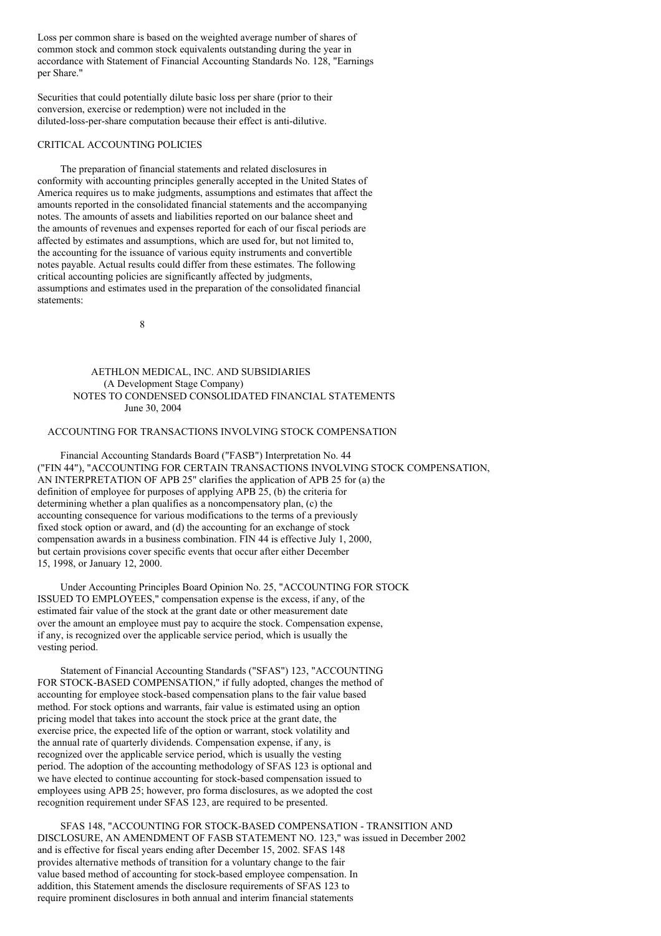Loss per common share is based on the weighted average number of shares of common stock and common stock equivalents outstanding during the year in accordance with Statement of Financial Accounting Standards No. 128, "Earnings per Share."

Securities that could potentially dilute basic loss per share (prior to their conversion, exercise or redemption) were not included in the diluted-loss-per-share computation because their effect is anti-dilutive.

## CRITICAL ACCOUNTING POLICIES

The preparation of financial statements and related disclosures in conformity with accounting principles generally accepted in the United States of America requires us to make judgments, assumptions and estimates that affect the amounts reported in the consolidated financial statements and the accompanying notes. The amounts of assets and liabilities reported on our balance sheet and the amounts of revenues and expenses reported for each of our fiscal periods are affected by estimates and assumptions, which are used for, but not limited to, the accounting for the issuance of various equity instruments and convertible notes payable. Actual results could differ from these estimates. The following critical accounting policies are significantly affected by judgments, assumptions and estimates used in the preparation of the consolidated financial statements:

8

AETHLON MEDICAL, INC. AND SUBSIDIARIES (A Development Stage Company) NOTES TO CONDENSED CONSOLIDATED FINANCIAL STATEMENTS June 30, 2004

## ACCOUNTING FOR TRANSACTIONS INVOLVING STOCK COMPENSATION

Financial Accounting Standards Board ("FASB") Interpretation No. 44 ("FIN 44"), "ACCOUNTING FOR CERTAIN TRANSACTIONS INVOLVING STOCK COMPENSATION, AN INTERPRETATION OF APB 25" clarifies the application of APB 25 for (a) the definition of employee for purposes of applying APB 25, (b) the criteria for determining whether a plan qualifies as a noncompensatory plan, (c) the accounting consequence for various modifications to the terms of a previously fixed stock option or award, and (d) the accounting for an exchange of stock compensation awards in a business combination. FIN 44 is effective July 1, 2000, but certain provisions cover specific events that occur after either December 15, 1998, or January 12, 2000.

Under Accounting Principles Board Opinion No. 25, "ACCOUNTING FOR STOCK ISSUED TO EMPLOYEES," compensation expense is the excess, if any, of the estimated fair value of the stock at the grant date or other measurement date over the amount an employee must pay to acquire the stock. Compensation expense, if any, is recognized over the applicable service period, which is usually the vesting period.

Statement of Financial Accounting Standards ("SFAS") 123, "ACCOUNTING FOR STOCK-BASED COMPENSATION," if fully adopted, changes the method of accounting for employee stock-based compensation plans to the fair value based method. For stock options and warrants, fair value is estimated using an option pricing model that takes into account the stock price at the grant date, the exercise price, the expected life of the option or warrant, stock volatility and the annual rate of quarterly dividends. Compensation expense, if any, is recognized over the applicable service period, which is usually the vesting period. The adoption of the accounting methodology of SFAS 123 is optional and we have elected to continue accounting for stock-based compensation issued to employees using APB 25; however, pro forma disclosures, as we adopted the cost recognition requirement under SFAS 123, are required to be presented.

SFAS 148, "ACCOUNTING FOR STOCK-BASED COMPENSATION - TRANSITION AND DISCLOSURE, AN AMENDMENT OF FASB STATEMENT NO. 123," was issued in December 2002 and is effective for fiscal years ending after December 15, 2002. SFAS 148 provides alternative methods of transition for a voluntary change to the fair value based method of accounting for stock-based employee compensation. In addition, this Statement amends the disclosure requirements of SFAS 123 to require prominent disclosures in both annual and interim financial statements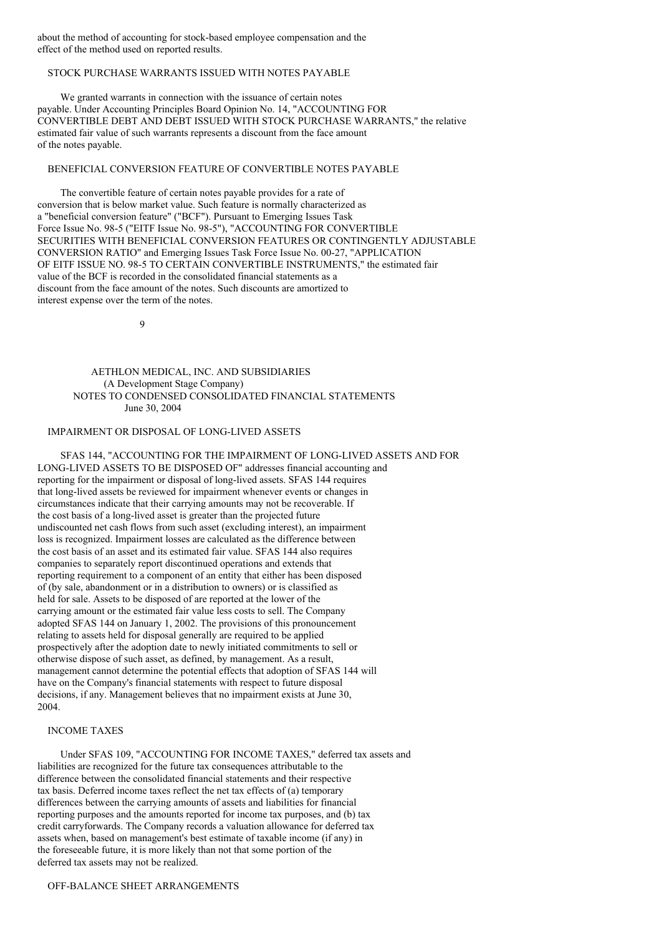about the method of accounting for stock-based employee compensation and the effect of the method used on reported results.

## STOCK PURCHASE WARRANTS ISSUED WITH NOTES PAYABLE

We granted warrants in connection with the issuance of certain notes payable. Under Accounting Principles Board Opinion No. 14, "ACCOUNTING FOR CONVERTIBLE DEBT AND DEBT ISSUED WITH STOCK PURCHASE WARRANTS," the relative estimated fair value of such warrants represents a discount from the face amount of the notes payable.

## BENEFICIAL CONVERSION FEATURE OF CONVERTIBLE NOTES PAYABLE

The convertible feature of certain notes payable provides for a rate of conversion that is below market value. Such feature is normally characterized as a "beneficial conversion feature" ("BCF"). Pursuant to Emerging Issues Task Force Issue No. 98-5 ("EITF Issue No. 98-5"), "ACCOUNTING FOR CONVERTIBLE SECURITIES WITH BENEFICIAL CONVERSION FEATURES OR CONTINGENTLY ADJUSTABLE CONVERSION RATIO" and Emerging Issues Task Force Issue No. 00-27, "APPLICATION OF EITF ISSUE NO. 98-5 TO CERTAIN CONVERTIBLE INSTRUMENTS," the estimated fair value of the BCF is recorded in the consolidated financial statements as a discount from the face amount of the notes. Such discounts are amortized to interest expense over the term of the notes.

9

AETHLON MEDICAL, INC. AND SUBSIDIARIES (A Development Stage Company) NOTES TO CONDENSED CONSOLIDATED FINANCIAL STATEMENTS June 30, 2004

## IMPAIRMENT OR DISPOSAL OF LONG-LIVED ASSETS

SFAS 144, "ACCOUNTING FOR THE IMPAIRMENT OF LONG-LIVED ASSETS AND FOR LONG-LIVED ASSETS TO BE DISPOSED OF" addresses financial accounting and reporting for the impairment or disposal of long-lived assets. SFAS 144 requires that long-lived assets be reviewed for impairment whenever events or changes in circumstances indicate that their carrying amounts may not be recoverable. If the cost basis of a long-lived asset is greater than the projected future undiscounted net cash flows from such asset (excluding interest), an impairment loss is recognized. Impairment losses are calculated as the difference between the cost basis of an asset and its estimated fair value. SFAS 144 also requires companies to separately report discontinued operations and extends that reporting requirement to a component of an entity that either has been disposed of (by sale, abandonment or in a distribution to owners) or is classified as held for sale. Assets to be disposed of are reported at the lower of the carrying amount or the estimated fair value less costs to sell. The Company adopted SFAS 144 on January 1, 2002. The provisions of this pronouncement relating to assets held for disposal generally are required to be applied prospectively after the adoption date to newly initiated commitments to sell or otherwise dispose of such asset, as defined, by management. As a result, management cannot determine the potential effects that adoption of SFAS 144 will have on the Company's financial statements with respect to future disposal decisions, if any. Management believes that no impairment exists at June 30, 2004.

## INCOME TAXES

Under SFAS 109, "ACCOUNTING FOR INCOME TAXES," deferred tax assets and liabilities are recognized for the future tax consequences attributable to the difference between the consolidated financial statements and their respective tax basis. Deferred income taxes reflect the net tax effects of (a) temporary differences between the carrying amounts of assets and liabilities for financial reporting purposes and the amounts reported for income tax purposes, and (b) tax credit carryforwards. The Company records a valuation allowance for deferred tax assets when, based on management's best estimate of taxable income (if any) in the foreseeable future, it is more likely than not that some portion of the deferred tax assets may not be realized.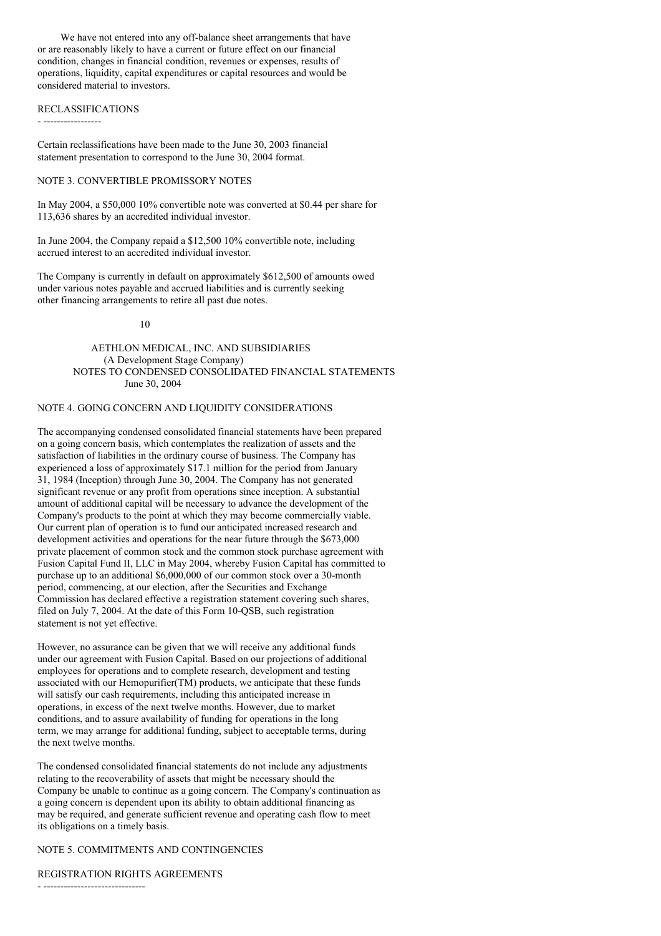We have not entered into any off-balance sheet arrangements that have or are reasonably likely to have a current or future effect on our financial condition, changes in financial condition, revenues or expenses, results of operations, liquidity, capital expenditures or capital resources and would be considered material to investors.

#### RECLASSIFICATIONS

- -----------------

Certain reclassifications have been made to the June 30, 2003 financial statement presentation to correspond to the June 30, 2004 format.

#### NOTE 3. CONVERTIBLE PROMISSORY NOTES

In May 2004, a \$50,000 10% convertible note was converted at \$0.44 per share for 113,636 shares by an accredited individual investor.

In June 2004, the Company repaid a \$12,500 10% convertible note, including accrued interest to an accredited individual investor.

The Company is currently in default on approximately \$612,500 of amounts owed under various notes payable and accrued liabilities and is currently seeking other financing arrangements to retire all past due notes.

10

## AETHLON MEDICAL, INC. AND SUBSIDIARIES (A Development Stage Company) NOTES TO CONDENSED CONSOLIDATED FINANCIAL STATEMENTS June 30, 2004

## NOTE 4. GOING CONCERN AND LIQUIDITY CONSIDERATIONS

The accompanying condensed consolidated financial statements have been prepared on a going concern basis, which contemplates the realization of assets and the satisfaction of liabilities in the ordinary course of business. The Company has experienced a loss of approximately \$17.1 million for the period from January 31, 1984 (Inception) through June 30, 2004. The Company has not generated significant revenue or any profit from operations since inception. A substantial amount of additional capital will be necessary to advance the development of the Company's products to the point at which they may become commercially viable. Our current plan of operation is to fund our anticipated increased research and development activities and operations for the near future through the \$673,000 private placement of common stock and the common stock purchase agreement with Fusion Capital Fund II, LLC in May 2004, whereby Fusion Capital has committed to purchase up to an additional \$6,000,000 of our common stock over a 30-month period, commencing, at our election, after the Securities and Exchange Commission has declared effective a registration statement covering such shares, filed on July 7, 2004. At the date of this Form 10-QSB, such registration statement is not yet effective.

However, no assurance can be given that we will receive any additional funds under our agreement with Fusion Capital. Based on our projections of additional employees for operations and to complete research, development and testing associated with our Hemopurifier(TM) products, we anticipate that these funds will satisfy our cash requirements, including this anticipated increase in operations, in excess of the next twelve months. However, due to market conditions, and to assure availability of funding for operations in the long term, we may arrange for additional funding, subject to acceptable terms, during the next twelve months.

The condensed consolidated financial statements do not include any adjustments relating to the recoverability of assets that might be necessary should the Company be unable to continue as a going concern. The Company's continuation as a going concern is dependent upon its ability to obtain additional financing as may be required, and generate sufficient revenue and operating cash flow to meet its obligations on a timely basis.

## NOTE 5. COMMITMENTS AND CONTINGENCIES

#### REGISTRATION RIGHTS AGREEMENTS

- ------------------------------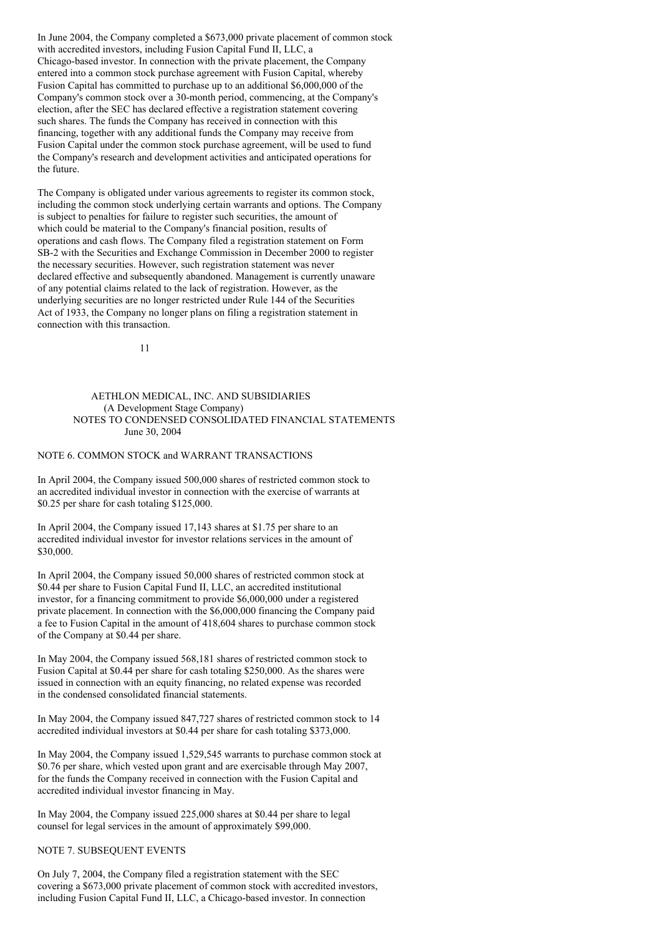In June 2004, the Company completed a \$673,000 private placement of common stock with accredited investors, including Fusion Capital Fund II, LLC, a Chicago-based investor. In connection with the private placement, the Company entered into a common stock purchase agreement with Fusion Capital, whereby Fusion Capital has committed to purchase up to an additional \$6,000,000 of the Company's common stock over a 30-month period, commencing, at the Company's election, after the SEC has declared effective a registration statement covering such shares. The funds the Company has received in connection with this financing, together with any additional funds the Company may receive from Fusion Capital under the common stock purchase agreement, will be used to fund the Company's research and development activities and anticipated operations for the future.

The Company is obligated under various agreements to register its common stock, including the common stock underlying certain warrants and options. The Company is subject to penalties for failure to register such securities, the amount of which could be material to the Company's financial position, results of operations and cash flows. The Company filed a registration statement on Form SB-2 with the Securities and Exchange Commission in December 2000 to register the necessary securities. However, such registration statement was never declared effective and subsequently abandoned. Management is currently unaware of any potential claims related to the lack of registration. However, as the underlying securities are no longer restricted under Rule 144 of the Securities Act of 1933, the Company no longer plans on filing a registration statement in connection with this transaction.

11

## AETHLON MEDICAL, INC. AND SUBSIDIARIES (A Development Stage Company) NOTES TO CONDENSED CONSOLIDATED FINANCIAL STATEMENTS June 30, 2004

## NOTE 6. COMMON STOCK and WARRANT TRANSACTIONS

In April 2004, the Company issued 500,000 shares of restricted common stock to an accredited individual investor in connection with the exercise of warrants at \$0.25 per share for cash totaling \$125,000.

In April 2004, the Company issued 17,143 shares at \$1.75 per share to an accredited individual investor for investor relations services in the amount of \$30,000.

In April 2004, the Company issued 50,000 shares of restricted common stock at \$0.44 per share to Fusion Capital Fund II, LLC, an accredited institutional investor, for a financing commitment to provide \$6,000,000 under a registered private placement. In connection with the \$6,000,000 financing the Company paid a fee to Fusion Capital in the amount of 418,604 shares to purchase common stock of the Company at \$0.44 per share.

In May 2004, the Company issued 568,181 shares of restricted common stock to Fusion Capital at \$0.44 per share for cash totaling \$250,000. As the shares were issued in connection with an equity financing, no related expense was recorded in the condensed consolidated financial statements.

In May 2004, the Company issued 847,727 shares of restricted common stock to 14 accredited individual investors at \$0.44 per share for cash totaling \$373,000.

In May 2004, the Company issued 1,529,545 warrants to purchase common stock at \$0.76 per share, which vested upon grant and are exercisable through May 2007, for the funds the Company received in connection with the Fusion Capital and accredited individual investor financing in May.

In May 2004, the Company issued 225,000 shares at \$0.44 per share to legal counsel for legal services in the amount of approximately \$99,000.

## NOTE 7. SUBSEQUENT EVENTS

On July 7, 2004, the Company filed a registration statement with the SEC covering a \$673,000 private placement of common stock with accredited investors, including Fusion Capital Fund II, LLC, a Chicago-based investor. In connection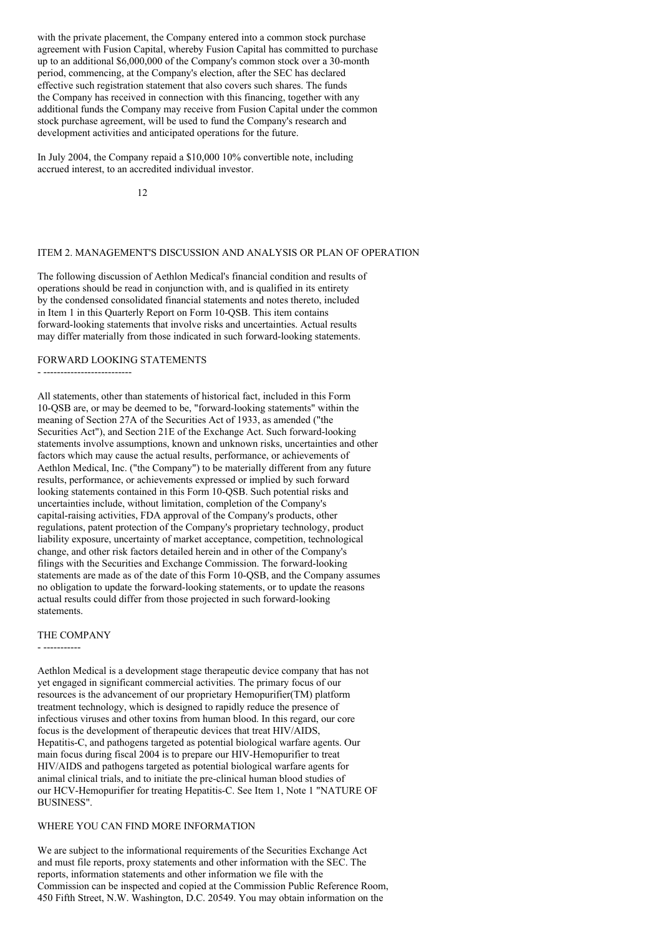with the private placement, the Company entered into a common stock purchase agreement with Fusion Capital, whereby Fusion Capital has committed to purchase up to an additional \$6,000,000 of the Company's common stock over a 30-month period, commencing, at the Company's election, after the SEC has declared effective such registration statement that also covers such shares. The funds the Company has received in connection with this financing, together with any additional funds the Company may receive from Fusion Capital under the common stock purchase agreement, will be used to fund the Company's research and development activities and anticipated operations for the future.

In July 2004, the Company repaid a \$10,000 10% convertible note, including accrued interest, to an accredited individual investor.

 $12$ 

#### ITEM 2. MANAGEMENT'S DISCUSSION AND ANALYSIS OR PLAN OF OPERATION

The following discussion of Aethlon Medical's financial condition and results of operations should be read in conjunction with, and is qualified in its entirety by the condensed consolidated financial statements and notes thereto, included in Item 1 in this Quarterly Report on Form 10-QSB. This item contains forward-looking statements that involve risks and uncertainties. Actual results may differ materially from those indicated in such forward-looking statements.

FORWARD LOOKING STATEMENTS

- --------------------------

All statements, other than statements of historical fact, included in this Form 10-QSB are, or may be deemed to be, "forward-looking statements" within the meaning of Section 27A of the Securities Act of 1933, as amended ("the Securities Act"), and Section 21E of the Exchange Act. Such forward-looking statements involve assumptions, known and unknown risks, uncertainties and other factors which may cause the actual results, performance, or achievements of Aethlon Medical, Inc. ("the Company") to be materially different from any future results, performance, or achievements expressed or implied by such forward looking statements contained in this Form 10-QSB. Such potential risks and uncertainties include, without limitation, completion of the Company's capital-raising activities, FDA approval of the Company's products, other regulations, patent protection of the Company's proprietary technology, product liability exposure, uncertainty of market acceptance, competition, technological change, and other risk factors detailed herein and in other of the Company's filings with the Securities and Exchange Commission. The forward-looking statements are made as of the date of this Form 10-QSB, and the Company assumes no obligation to update the forward-looking statements, or to update the reasons actual results could differ from those projected in such forward-looking statements.

#### THE COMPANY

- -----------

Aethlon Medical is a development stage therapeutic device company that has not yet engaged in significant commercial activities. The primary focus of our resources is the advancement of our proprietary Hemopurifier(TM) platform treatment technology, which is designed to rapidly reduce the presence of infectious viruses and other toxins from human blood. In this regard, our core focus is the development of therapeutic devices that treat HIV/AIDS, Hepatitis-C, and pathogens targeted as potential biological warfare agents. Our main focus during fiscal 2004 is to prepare our HIV-Hemopurifier to treat HIV/AIDS and pathogens targeted as potential biological warfare agents for animal clinical trials, and to initiate the pre-clinical human blood studies of our HCV-Hemopurifier for treating Hepatitis-C. See Item 1, Note 1 "NATURE OF BUSINESS".

## WHERE YOU CAN FIND MORE INFORMATION

We are subject to the informational requirements of the Securities Exchange Act and must file reports, proxy statements and other information with the SEC. The reports, information statements and other information we file with the Commission can be inspected and copied at the Commission Public Reference Room, 450 Fifth Street, N.W. Washington, D.C. 20549. You may obtain information on the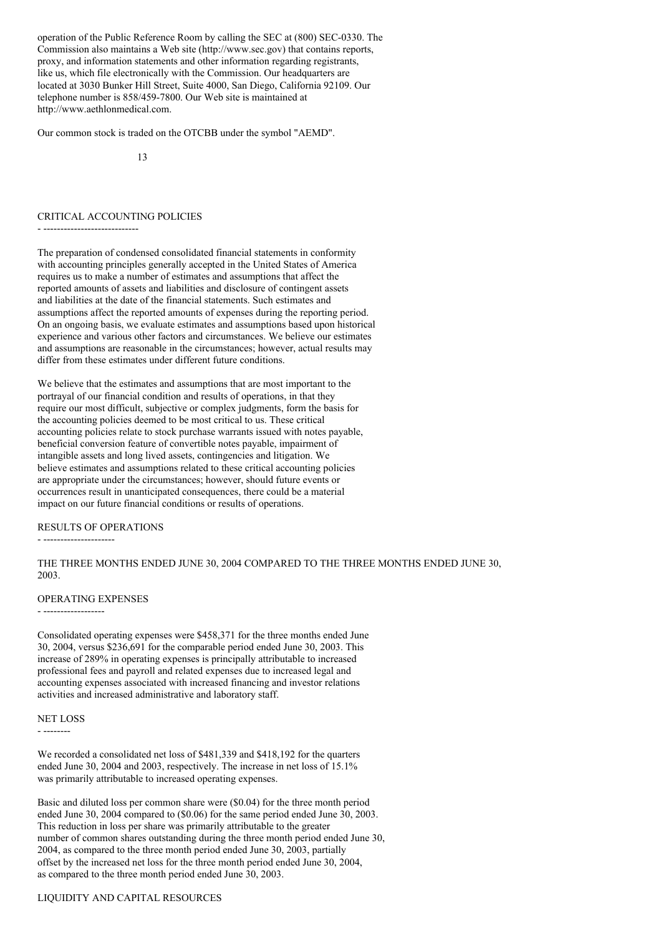operation of the Public Reference Room by calling the SEC at (800) SEC-0330. The Commission also maintains a Web site (http://www.sec.gov) that contains reports, proxy, and information statements and other information regarding registrants, like us, which file electronically with the Commission. Our headquarters are located at 3030 Bunker Hill Street, Suite 4000, San Diego, California 92109. Our telephone number is 858/459-7800. Our Web site is maintained at http://www.aethlonmedical.com.

Our common stock is traded on the OTCBB under the symbol "AEMD".

13

## CRITICAL ACCOUNTING POLICIES

#### - ----------------------------

The preparation of condensed consolidated financial statements in conformity with accounting principles generally accepted in the United States of America requires us to make a number of estimates and assumptions that affect the reported amounts of assets and liabilities and disclosure of contingent assets and liabilities at the date of the financial statements. Such estimates and assumptions affect the reported amounts of expenses during the reporting period. On an ongoing basis, we evaluate estimates and assumptions based upon historical experience and various other factors and circumstances. We believe our estimates and assumptions are reasonable in the circumstances; however, actual results may differ from these estimates under different future conditions.

We believe that the estimates and assumptions that are most important to the portrayal of our financial condition and results of operations, in that they require our most difficult, subjective or complex judgments, form the basis for the accounting policies deemed to be most critical to us. These critical accounting policies relate to stock purchase warrants issued with notes payable, beneficial conversion feature of convertible notes payable, impairment of intangible assets and long lived assets, contingencies and litigation. We believe estimates and assumptions related to these critical accounting policies are appropriate under the circumstances; however, should future events or occurrences result in unanticipated consequences, there could be a material impact on our future financial conditions or results of operations.

### RESULTS OF OPERATIONS

#### - ---------------------

## THE THREE MONTHS ENDED JUNE 30, 2004 COMPARED TO THE THREE MONTHS ENDED JUNE 30, 2003.

#### OPERATING EXPENSES

- ------------------

Consolidated operating expenses were \$458,371 for the three months ended June 30, 2004, versus \$236,691 for the comparable period ended June 30, 2003. This increase of 289% in operating expenses is principally attributable to increased professional fees and payroll and related expenses due to increased legal and accounting expenses associated with increased financing and investor relations activities and increased administrative and laboratory staff.

#### NET LOSS

- --------

We recorded a consolidated net loss of \$481,339 and \$418,192 for the quarters ended June 30, 2004 and 2003, respectively. The increase in net loss of 15.1% was primarily attributable to increased operating expenses.

Basic and diluted loss per common share were (\$0.04) for the three month period ended June 30, 2004 compared to (\$0.06) for the same period ended June 30, 2003. This reduction in loss per share was primarily attributable to the greater number of common shares outstanding during the three month period ended June 30, 2004, as compared to the three month period ended June 30, 2003, partially offset by the increased net loss for the three month period ended June 30, 2004, as compared to the three month period ended June 30, 2003.

## LIQUIDITY AND CAPITAL RESOURCES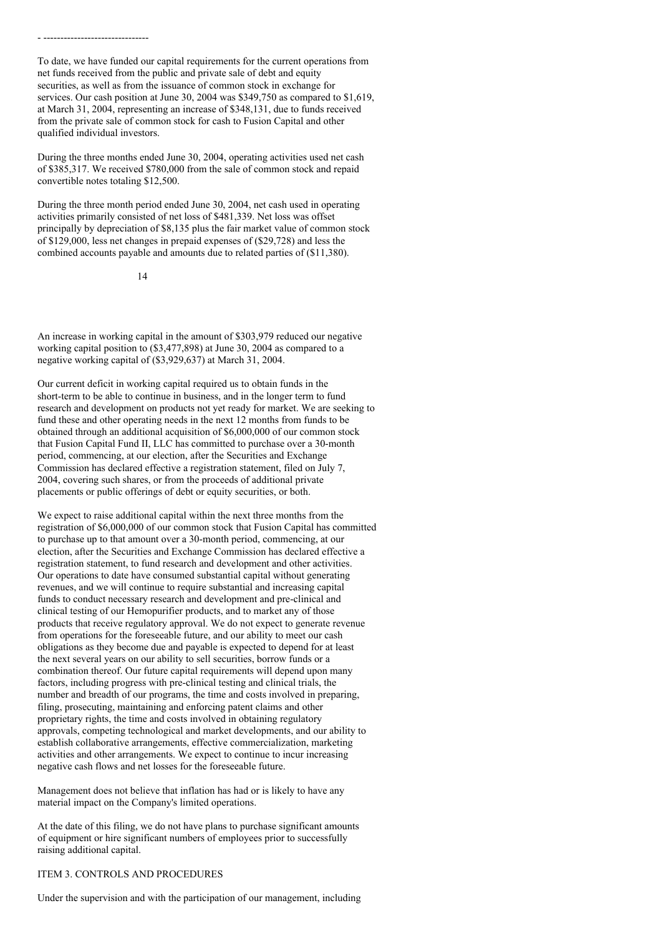To date, we have funded our capital requirements for the current operations from net funds received from the public and private sale of debt and equity securities, as well as from the issuance of common stock in exchange for services. Our cash position at June 30, 2004 was \$349,750 as compared to \$1,619, at March 31, 2004, representing an increase of \$348,131, due to funds received from the private sale of common stock for cash to Fusion Capital and other qualified individual investors.

During the three months ended June 30, 2004, operating activities used net cash of \$385,317. We received \$780,000 from the sale of common stock and repaid convertible notes totaling \$12,500.

During the three month period ended June 30, 2004, net cash used in operating activities primarily consisted of net loss of \$481,339. Net loss was offset principally by depreciation of \$8,135 plus the fair market value of common stock of \$129,000, less net changes in prepaid expenses of (\$29,728) and less the combined accounts payable and amounts due to related parties of (\$11,380).

14

- -------------------------------

An increase in working capital in the amount of \$303,979 reduced our negative working capital position to (\$3,477,898) at June 30, 2004 as compared to a negative working capital of (\$3,929,637) at March 31, 2004.

Our current deficit in working capital required us to obtain funds in the short-term to be able to continue in business, and in the longer term to fund research and development on products not yet ready for market. We are seeking to fund these and other operating needs in the next 12 months from funds to be obtained through an additional acquisition of \$6,000,000 of our common stock that Fusion Capital Fund II, LLC has committed to purchase over a 30-month period, commencing, at our election, after the Securities and Exchange Commission has declared effective a registration statement, filed on July 7, 2004, covering such shares, or from the proceeds of additional private placements or public offerings of debt or equity securities, or both.

We expect to raise additional capital within the next three months from the registration of \$6,000,000 of our common stock that Fusion Capital has committed to purchase up to that amount over a 30-month period, commencing, at our election, after the Securities and Exchange Commission has declared effective a registration statement, to fund research and development and other activities. Our operations to date have consumed substantial capital without generating revenues, and we will continue to require substantial and increasing capital funds to conduct necessary research and development and pre-clinical and clinical testing of our Hemopurifier products, and to market any of those products that receive regulatory approval. We do not expect to generate revenue from operations for the foreseeable future, and our ability to meet our cash obligations as they become due and payable is expected to depend for at least the next several years on our ability to sell securities, borrow funds or a combination thereof. Our future capital requirements will depend upon many factors, including progress with pre-clinical testing and clinical trials, the number and breadth of our programs, the time and costs involved in preparing, filing, prosecuting, maintaining and enforcing patent claims and other proprietary rights, the time and costs involved in obtaining regulatory approvals, competing technological and market developments, and our ability to establish collaborative arrangements, effective commercialization, marketing activities and other arrangements. We expect to continue to incur increasing negative cash flows and net losses for the foreseeable future.

Management does not believe that inflation has had or is likely to have any material impact on the Company's limited operations.

At the date of this filing, we do not have plans to purchase significant amounts of equipment or hire significant numbers of employees prior to successfully raising additional capital.

## ITEM 3. CONTROLS AND PROCEDURES

Under the supervision and with the participation of our management, including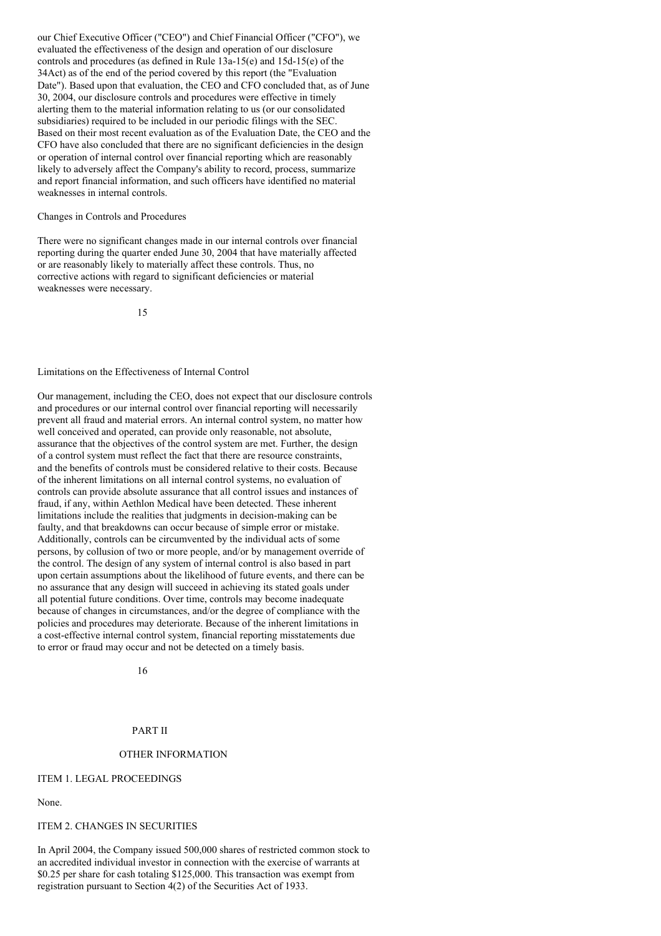our Chief Executive Officer ("CEO") and Chief Financial Officer ("CFO"), we evaluated the effectiveness of the design and operation of our disclosure controls and procedures (as defined in Rule 13a-15(e) and 15d-15(e) of the 34Act) as of the end of the period covered by this report (the "Evaluation Date"). Based upon that evaluation, the CEO and CFO concluded that, as of June 30, 2004, our disclosure controls and procedures were effective in timely alerting them to the material information relating to us (or our consolidated subsidiaries) required to be included in our periodic filings with the SEC. Based on their most recent evaluation as of the Evaluation Date, the CEO and the CFO have also concluded that there are no significant deficiencies in the design or operation of internal control over financial reporting which are reasonably likely to adversely affect the Company's ability to record, process, summarize and report financial information, and such officers have identified no material weaknesses in internal controls.

## Changes in Controls and Procedures

There were no significant changes made in our internal controls over financial reporting during the quarter ended June 30, 2004 that have materially affected or are reasonably likely to materially affect these controls. Thus, no corrective actions with regard to significant deficiencies or material weaknesses were necessary.

15

## Limitations on the Effectiveness of Internal Control

Our management, including the CEO, does not expect that our disclosure controls and procedures or our internal control over financial reporting will necessarily prevent all fraud and material errors. An internal control system, no matter how well conceived and operated, can provide only reasonable, not absolute, assurance that the objectives of the control system are met. Further, the design of a control system must reflect the fact that there are resource constraints, and the benefits of controls must be considered relative to their costs. Because of the inherent limitations on all internal control systems, no evaluation of controls can provide absolute assurance that all control issues and instances of fraud, if any, within Aethlon Medical have been detected. These inherent limitations include the realities that judgments in decision-making can be faulty, and that breakdowns can occur because of simple error or mistake. Additionally, controls can be circumvented by the individual acts of some persons, by collusion of two or more people, and/or by management override of the control. The design of any system of internal control is also based in part upon certain assumptions about the likelihood of future events, and there can be no assurance that any design will succeed in achieving its stated goals under all potential future conditions. Over time, controls may become inadequate because of changes in circumstances, and/or the degree of compliance with the policies and procedures may deteriorate. Because of the inherent limitations in a cost-effective internal control system, financial reporting misstatements due to error or fraud may occur and not be detected on a timely basis.

16

## PART II

#### OTHER INFORMATION

## ITEM 1. LEGAL PROCEEDINGS

## None.

## ITEM 2. CHANGES IN SECURITIES

In April 2004, the Company issued 500,000 shares of restricted common stock to an accredited individual investor in connection with the exercise of warrants at \$0.25 per share for cash totaling \$125,000. This transaction was exempt from registration pursuant to Section 4(2) of the Securities Act of 1933.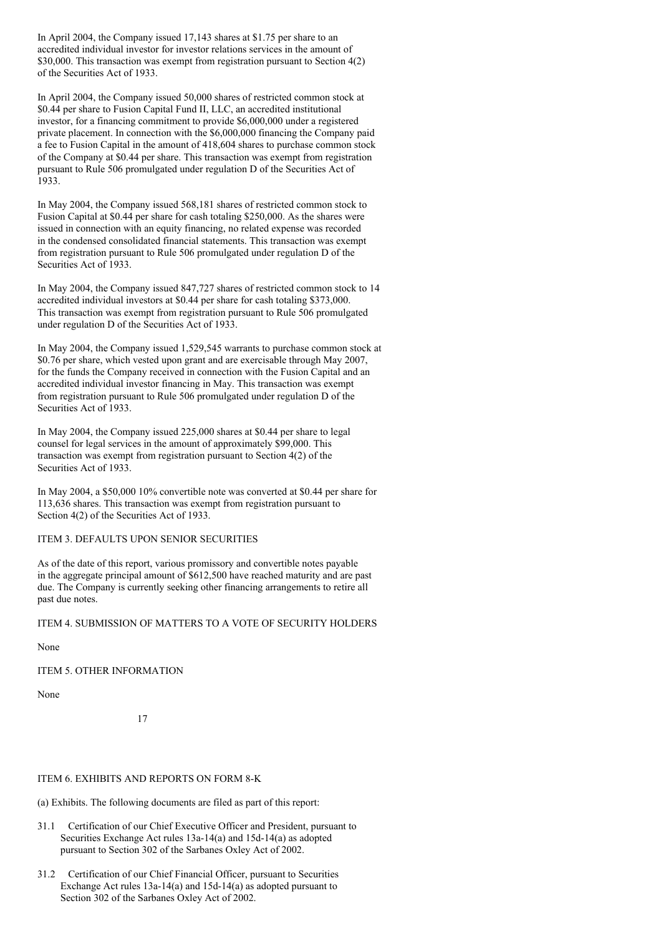In April 2004, the Company issued 17,143 shares at \$1.75 per share to an accredited individual investor for investor relations services in the amount of \$30,000. This transaction was exempt from registration pursuant to Section 4(2) of the Securities Act of 1933.

In April 2004, the Company issued 50,000 shares of restricted common stock at \$0.44 per share to Fusion Capital Fund II, LLC, an accredited institutional investor, for a financing commitment to provide \$6,000,000 under a registered private placement. In connection with the \$6,000,000 financing the Company paid a fee to Fusion Capital in the amount of 418,604 shares to purchase common stock of the Company at \$0.44 per share. This transaction was exempt from registration pursuant to Rule 506 promulgated under regulation D of the Securities Act of 1933.

In May 2004, the Company issued 568,181 shares of restricted common stock to Fusion Capital at \$0.44 per share for cash totaling \$250,000. As the shares were issued in connection with an equity financing, no related expense was recorded in the condensed consolidated financial statements. This transaction was exempt from registration pursuant to Rule 506 promulgated under regulation D of the Securities Act of 1933.

In May 2004, the Company issued 847,727 shares of restricted common stock to 14 accredited individual investors at \$0.44 per share for cash totaling \$373,000. This transaction was exempt from registration pursuant to Rule 506 promulgated under regulation D of the Securities Act of 1933.

In May 2004, the Company issued 1,529,545 warrants to purchase common stock at \$0.76 per share, which vested upon grant and are exercisable through May 2007, for the funds the Company received in connection with the Fusion Capital and an accredited individual investor financing in May. This transaction was exempt from registration pursuant to Rule 506 promulgated under regulation D of the Securities Act of 1933.

In May 2004, the Company issued 225,000 shares at \$0.44 per share to legal counsel for legal services in the amount of approximately \$99,000. This transaction was exempt from registration pursuant to Section 4(2) of the Securities Act of 1933.

In May 2004, a \$50,000 10% convertible note was converted at \$0.44 per share for 113,636 shares. This transaction was exempt from registration pursuant to Section 4(2) of the Securities Act of 1933.

#### ITEM 3. DEFAULTS UPON SENIOR SECURITIES

As of the date of this report, various promissory and convertible notes payable in the aggregate principal amount of \$612,500 have reached maturity and are past due. The Company is currently seeking other financing arrangements to retire all past due notes.

## ITEM 4. SUBMISSION OF MATTERS TO A VOTE OF SECURITY HOLDERS

None

# ITEM 5. OTHER INFORMATION

None

17

## ITEM 6. EXHIBITS AND REPORTS ON FORM 8-K

(a) Exhibits. The following documents are filed as part of this report:

- 31.1 Certification of our Chief Executive Officer and President, pursuant to Securities Exchange Act rules 13a-14(a) and 15d-14(a) as adopted pursuant to Section 302 of the Sarbanes Oxley Act of 2002.
- 31.2 Certification of our Chief Financial Officer, pursuant to Securities Exchange Act rules 13a-14(a) and 15d-14(a) as adopted pursuant to Section 302 of the Sarbanes Oxley Act of 2002.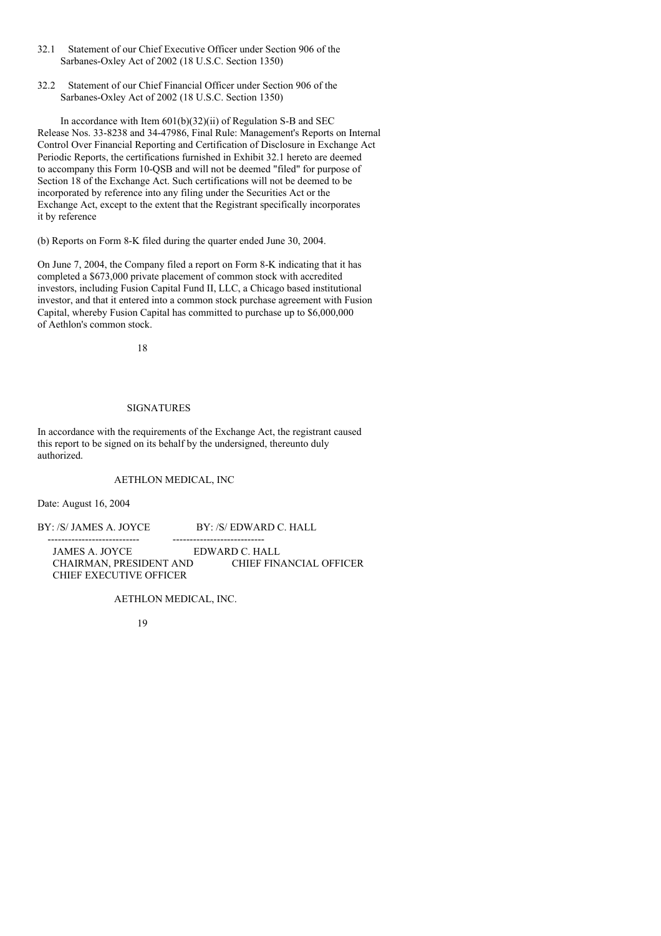- 32.1 Statement of our Chief Executive Officer under Section 906 of the Sarbanes-Oxley Act of 2002 (18 U.S.C. Section 1350)
- 32.2 Statement of our Chief Financial Officer under Section 906 of the Sarbanes-Oxley Act of 2002 (18 U.S.C. Section 1350)

In accordance with Item 601(b)(32)(ii) of Regulation S-B and SEC Release Nos. 33-8238 and 34-47986, Final Rule: Management's Reports on Internal Control Over Financial Reporting and Certification of Disclosure in Exchange Act Periodic Reports, the certifications furnished in Exhibit 32.1 hereto are deemed to accompany this Form 10-QSB and will not be deemed "filed" for purpose of Section 18 of the Exchange Act. Such certifications will not be deemed to be incorporated by reference into any filing under the Securities Act or the Exchange Act, except to the extent that the Registrant specifically incorporates it by reference

(b) Reports on Form 8-K filed during the quarter ended June 30, 2004.

On June 7, 2004, the Company filed a report on Form 8-K indicating that it has completed a \$673,000 private placement of common stock with accredited investors, including Fusion Capital Fund II, LLC, a Chicago based institutional investor, and that it entered into a common stock purchase agreement with Fusion Capital, whereby Fusion Capital has committed to purchase up to \$6,000,000 of Aethlon's common stock.

18

#### SIGNATURES

In accordance with the requirements of the Exchange Act, the registrant caused this report to be signed on its behalf by the undersigned, thereunto duly authorized.

## AETHLON MEDICAL, INC

Date: August 16, 2004

BY: /S/ JAMES A. JOYCE BY: /S/ EDWARD C. HALL

--------------------------- --------------------------- JAMES A. JOYCE EDWARD C. HALL CHAIRMAN, PRESIDENT AND CHIEF FINANCIAL OFFICER CHIEF EXECUTIVE OFFICER

AETHLON MEDICAL, INC.

19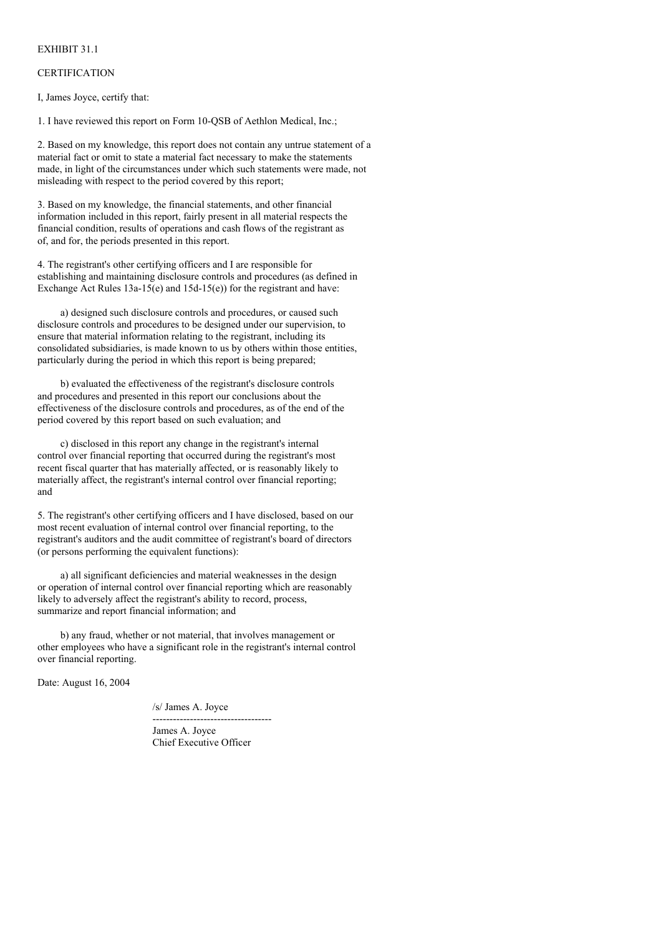## EXHIBIT 31.1

## **CERTIFICATION**

I, James Joyce, certify that:

1. I have reviewed this report on Form 10-QSB of Aethlon Medical, Inc.;

2. Based on my knowledge, this report does not contain any untrue statement of a material fact or omit to state a material fact necessary to make the statements made, in light of the circumstances under which such statements were made, not misleading with respect to the period covered by this report;

3. Based on my knowledge, the financial statements, and other financial information included in this report, fairly present in all material respects the financial condition, results of operations and cash flows of the registrant as of, and for, the periods presented in this report.

4. The registrant's other certifying officers and I are responsible for establishing and maintaining disclosure controls and procedures (as defined in Exchange Act Rules  $13a-15(e)$  and  $15d-15(e)$  for the registrant and have:

a) designed such disclosure controls and procedures, or caused such disclosure controls and procedures to be designed under our supervision, to ensure that material information relating to the registrant, including its consolidated subsidiaries, is made known to us by others within those entities, particularly during the period in which this report is being prepared;

b) evaluated the effectiveness of the registrant's disclosure controls and procedures and presented in this report our conclusions about the effectiveness of the disclosure controls and procedures, as of the end of the period covered by this report based on such evaluation; and

c) disclosed in this report any change in the registrant's internal control over financial reporting that occurred during the registrant's most recent fiscal quarter that has materially affected, or is reasonably likely to materially affect, the registrant's internal control over financial reporting; and

5. The registrant's other certifying officers and I have disclosed, based on our most recent evaluation of internal control over financial reporting, to the registrant's auditors and the audit committee of registrant's board of directors (or persons performing the equivalent functions):

a) all significant deficiencies and material weaknesses in the design or operation of internal control over financial reporting which are reasonably likely to adversely affect the registrant's ability to record, process, summarize and report financial information; and

b) any fraud, whether or not material, that involves management or other employees who have a significant role in the registrant's internal control over financial reporting.

Date: August 16, 2004

/s/ James A. Joyce -----------------------------------

James A. Joyce Chief Executive Officer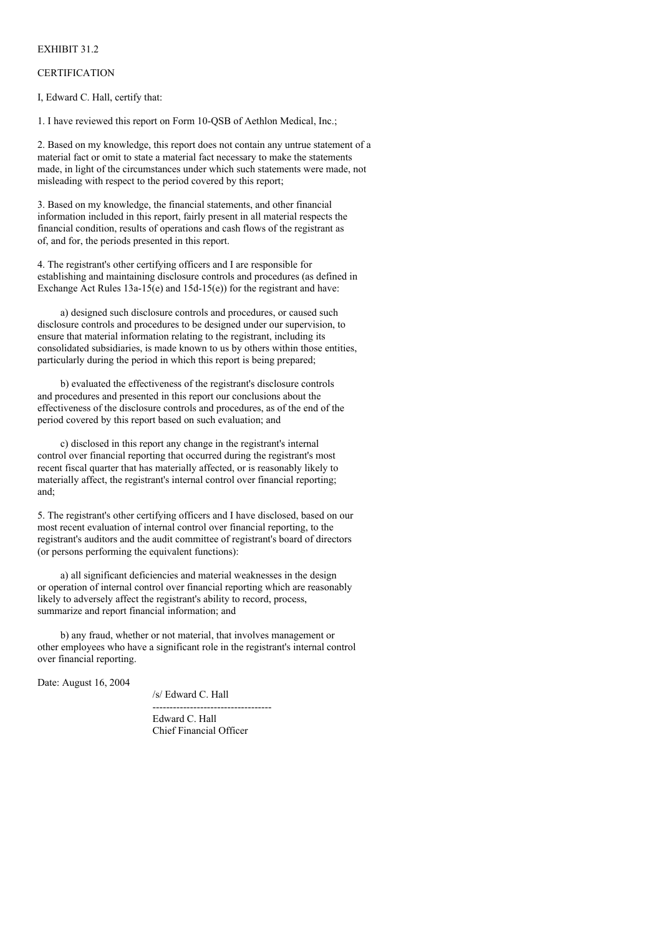### EXHIBIT 31.2

## **CERTIFICATION**

I, Edward C. Hall, certify that:

1. I have reviewed this report on Form 10-QSB of Aethlon Medical, Inc.;

2. Based on my knowledge, this report does not contain any untrue statement of a material fact or omit to state a material fact necessary to make the statements made, in light of the circumstances under which such statements were made, not misleading with respect to the period covered by this report;

3. Based on my knowledge, the financial statements, and other financial information included in this report, fairly present in all material respects the financial condition, results of operations and cash flows of the registrant as of, and for, the periods presented in this report.

4. The registrant's other certifying officers and I are responsible for establishing and maintaining disclosure controls and procedures (as defined in Exchange Act Rules  $13a-15(e)$  and  $15d-15(e)$  for the registrant and have:

a) designed such disclosure controls and procedures, or caused such disclosure controls and procedures to be designed under our supervision, to ensure that material information relating to the registrant, including its consolidated subsidiaries, is made known to us by others within those entities, particularly during the period in which this report is being prepared;

b) evaluated the effectiveness of the registrant's disclosure controls and procedures and presented in this report our conclusions about the effectiveness of the disclosure controls and procedures, as of the end of the period covered by this report based on such evaluation; and

c) disclosed in this report any change in the registrant's internal control over financial reporting that occurred during the registrant's most recent fiscal quarter that has materially affected, or is reasonably likely to materially affect, the registrant's internal control over financial reporting; and;

5. The registrant's other certifying officers and I have disclosed, based on our most recent evaluation of internal control over financial reporting, to the registrant's auditors and the audit committee of registrant's board of directors (or persons performing the equivalent functions):

a) all significant deficiencies and material weaknesses in the design or operation of internal control over financial reporting which are reasonably likely to adversely affect the registrant's ability to record, process, summarize and report financial information; and

b) any fraud, whether or not material, that involves management or other employees who have a significant role in the registrant's internal control over financial reporting.

Date: August 16, 2004

/s/ Edward C. Hall

 $-$ Edward C. Hall Chief Financial Officer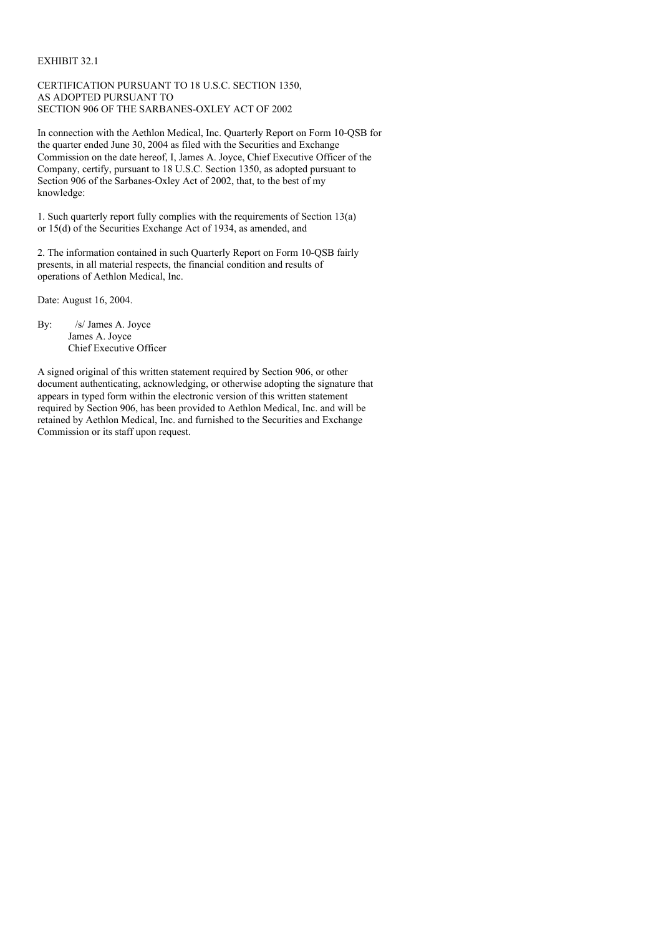#### EXHIBIT 32.1

CERTIFICATION PURSUANT TO 18 U.S.C. SECTION 1350, AS ADOPTED PURSUANT TO SECTION 906 OF THE SARBANES-OXLEY ACT OF 2002

In connection with the Aethlon Medical, Inc. Quarterly Report on Form 10-QSB for the quarter ended June 30, 2004 as filed with the Securities and Exchange Commission on the date hereof, I, James A. Joyce, Chief Executive Officer of the Company, certify, pursuant to 18 U.S.C. Section 1350, as adopted pursuant to Section 906 of the Sarbanes-Oxley Act of 2002, that, to the best of my knowledge:

1. Such quarterly report fully complies with the requirements of Section 13(a) or 15(d) of the Securities Exchange Act of 1934, as amended, and

2. The information contained in such Quarterly Report on Form 10-QSB fairly presents, in all material respects, the financial condition and results of operations of Aethlon Medical, Inc.

Date: August 16, 2004.

By: /s/ James A. Joyce James A. Joyce Chief Executive Officer

A signed original of this written statement required by Section 906, or other document authenticating, acknowledging, or otherwise adopting the signature that appears in typed form within the electronic version of this written statement required by Section 906, has been provided to Aethlon Medical, Inc. and will be retained by Aethlon Medical, Inc. and furnished to the Securities and Exchange Commission or its staff upon request.